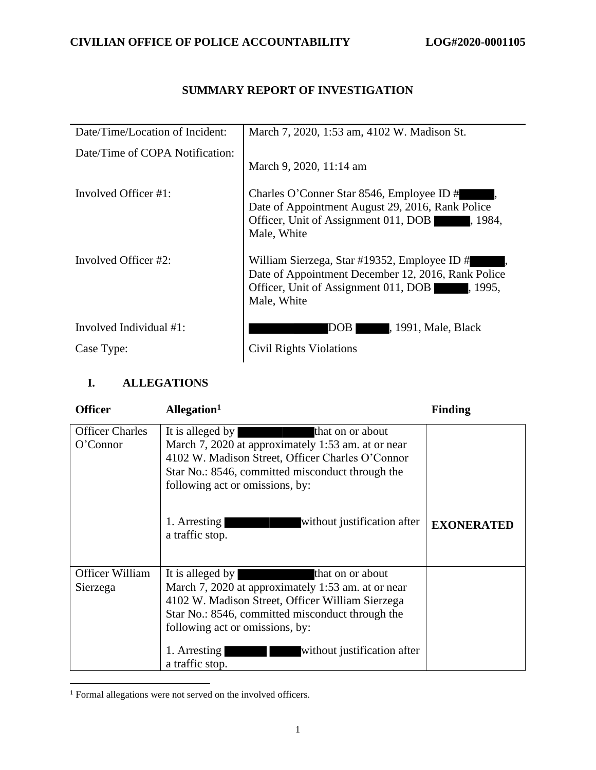## **SUMMARY REPORT OF INVESTIGATION**

| Date/Time/Location of Incident: | March 7, 2020, 1:53 am, 4102 W. Madison St.                                                                                                                           |
|---------------------------------|-----------------------------------------------------------------------------------------------------------------------------------------------------------------------|
| Date/Time of COPA Notification: |                                                                                                                                                                       |
|                                 | March 9, 2020, 11:14 am                                                                                                                                               |
| Involved Officer #1:            | Charles O'Conner Star 8546, Employee ID #<br>Date of Appointment August 29, 2016, Rank Police<br>Officer, Unit of Assignment 011, DOB<br>, 1984.<br>Male, White       |
| Involved Officer #2:            | William Sierzega, Star #19352, Employee ID #<br>Date of Appointment December 12, 2016, Rank Police<br>Officer, Unit of Assignment 011, DOB<br>I. 1995.<br>Male, White |
| Involved Individual #1:         | , 1991, Male, Black<br>DOB                                                                                                                                            |
| Case Type:                      | Civil Rights Violations                                                                                                                                               |

## **I. ALLEGATIONS**

| <b>Officer</b>                     | Allegation <sup>1</sup>                                                                                                                                                                                                                                                                                 | <b>Finding</b>    |
|------------------------------------|---------------------------------------------------------------------------------------------------------------------------------------------------------------------------------------------------------------------------------------------------------------------------------------------------------|-------------------|
| <b>Officer Charles</b><br>O'Connor | It is alleged by<br>that on or about<br>March 7, 2020 at approximately 1:53 am. at or near<br>4102 W. Madison Street, Officer Charles O'Connor<br>Star No.: 8546, committed misconduct through the<br>following act or omissions, by:<br>1. Arresting<br>without justification after<br>a traffic stop. | <b>EXONERATED</b> |
| Officer William<br>Sierzega        | It is alleged by<br>that on or about<br>March 7, 2020 at approximately 1:53 am. at or near<br>4102 W. Madison Street, Officer William Sierzega<br>Star No.: 8546, committed misconduct through the<br>following act or omissions, by:<br>1. Arresting<br>without justification after<br>a traffic stop. |                   |

<sup>&</sup>lt;sup>1</sup> Formal allegations were not served on the involved officers.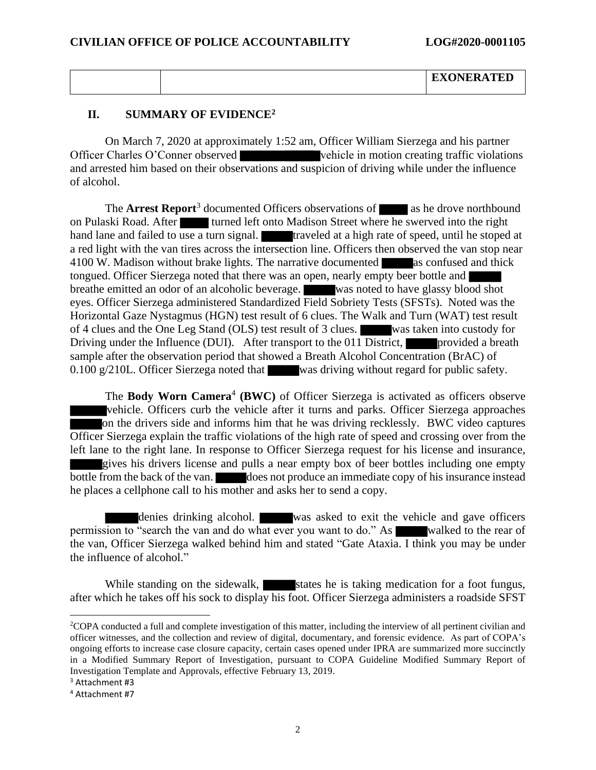|  | <b>EXONERATED</b> |
|--|-------------------|
|  |                   |

#### **II. SUMMARY OF EVIDENCE<sup>2</sup>**

On March 7, 2020 at approximately 1:52 am, Officer William Sierzega and his partner Officer Charles O'Conner observed vehicle in motion creating traffic violations and arrested him based on their observations and suspicion of driving while under the influence of alcohol.

The **Arrest Report**<sup>3</sup> documented Officers observations of as he drove northbound on Pulaski Road. After turned left onto Madison Street where he swerved into the right hand lane and failed to use a turn signal. **The state of speed, untiled at a high rate of speed, until he stoped at** a red light with the van tires across the intersection line. Officers then observed the van stop near 4100 W. Madison without brake lights. The narrative documented as confused and thick tongued. Officer Sierzega noted that there was an open, nearly empty beer bottle and breathe emitted an odor of an alcoholic beverage. was noted to have glassy blood shot eyes. Officer Sierzega administered Standardized Field Sobriety Tests (SFSTs). Noted was the Horizontal Gaze Nystagmus (HGN) test result of 6 clues. The Walk and Turn (WAT) test result of 4 clues and the One Leg Stand (OLS) test result of 3 clues. was taken into custody for Driving under the Influence (DUI). After transport to the 011 District, provided a breath sample after the observation period that showed a Breath Alcohol Concentration (BrAC) of 0.100 g/210L. Officer Sierzega noted that was driving without regard for public safety.

The Body Worn Camera<sup>4</sup> (BWC) of Officer Sierzega is activated as officers observe vehicle. Officers curb the vehicle after it turns and parks. Officer Sierzega approaches on the drivers side and informs him that he was driving recklessly. BWC video captures Officer Sierzega explain the traffic violations of the high rate of speed and crossing over from the left lane to the right lane. In response to Officer Sierzega request for his license and insurance, gives his drivers license and pulls a near empty box of beer bottles including one empty bottle from the back of the van. does not produce an immediate copy of his insurance instead he places a cellphone call to his mother and asks her to send a copy.

denies drinking alcohol. was asked to exit the vehicle and gave officers permission to "search the van and do what ever you want to do." As walked to the rear of the van, Officer Sierzega walked behind him and stated "Gate Ataxia. I think you may be under the influence of alcohol."

While standing on the sidewalk, states he is taking medication for a foot fungus, after which he takes off his sock to display his foot. Officer Sierzega administers a roadside SFST

<sup>2</sup>COPA conducted a full and complete investigation of this matter, including the interview of all pertinent civilian and officer witnesses, and the collection and review of digital, documentary, and forensic evidence. As part of COPA's ongoing efforts to increase case closure capacity, certain cases opened under IPRA are summarized more succinctly in a Modified Summary Report of Investigation, pursuant to COPA Guideline Modified Summary Report of Investigation Template and Approvals, effective February 13, 2019.

<sup>3</sup> Attachment #3

<sup>4</sup> Attachment #7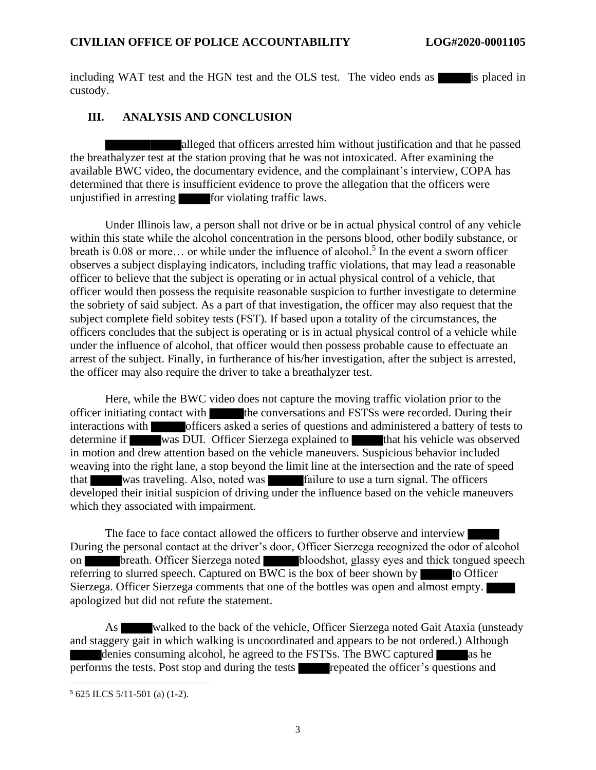including WAT test and the HGN test and the OLS test. The video ends as is placed in custody.

### **III. ANALYSIS AND CONCLUSION**

alleged that officers arrested him without justification and that he passed the breathalyzer test at the station proving that he was not intoxicated. After examining the available BWC video, the documentary evidence, and the complainant's interview, COPA has determined that there is insufficient evidence to prove the allegation that the officers were unjustified in arresting  $\blacksquare$  for violating traffic laws.

Under Illinois law, a person shall not drive or be in actual physical control of any vehicle within this state while the alcohol concentration in the persons blood, other bodily substance, or breath is 0.08 or more... or while under the influence of alcohol.<sup>5</sup> In the event a sworn officer observes a subject displaying indicators, including traffic violations, that may lead a reasonable officer to believe that the subject is operating or in actual physical control of a vehicle, that officer would then possess the requisite reasonable suspicion to further investigate to determine the sobriety of said subject. As a part of that investigation, the officer may also request that the subject complete field sobitey tests (FST). If based upon a totality of the circumstances, the officers concludes that the subject is operating or is in actual physical control of a vehicle while under the influence of alcohol, that officer would then possess probable cause to effectuate an arrest of the subject. Finally, in furtherance of his/her investigation, after the subject is arrested, the officer may also require the driver to take a breathalyzer test.

Here, while the BWC video does not capture the moving traffic violation prior to the officer initiating contact with the conversations and FSTSs were recorded. During their interactions with officers asked a series of questions and administered a battery of tests to determine if was DUI. Officer Sierzega explained to that his vehicle was observed in motion and drew attention based on the vehicle maneuvers. Suspicious behavior included weaving into the right lane, a stop beyond the limit line at the intersection and the rate of speed that was traveling. Also, noted was failure to use a turn signal. The officers developed their initial suspicion of driving under the influence based on the vehicle maneuvers which they associated with impairment.

The face to face contact allowed the officers to further observe and interview During the personal contact at the driver's door, Officer Sierzega recognized the odor of alcohol on breath. Officer Sierzega noted bloodshot, glassy eyes and thick tongued speech referring to slurred speech. Captured on BWC is the box of beer shown by to Officer Sierzega. Officer Sierzega comments that one of the bottles was open and almost empty. apologized but did not refute the statement.

As walked to the back of the vehicle, Officer Sierzega noted Gait Ataxia (unsteady and staggery gait in which walking is uncoordinated and appears to be not ordered.) Although denies consuming alcohol, he agreed to the FSTSs. The BWC captured as he performs the tests. Post stop and during the tests repeated the officer's questions and

<sup>5</sup> 625 ILCS 5/11-501 (a) (1-2).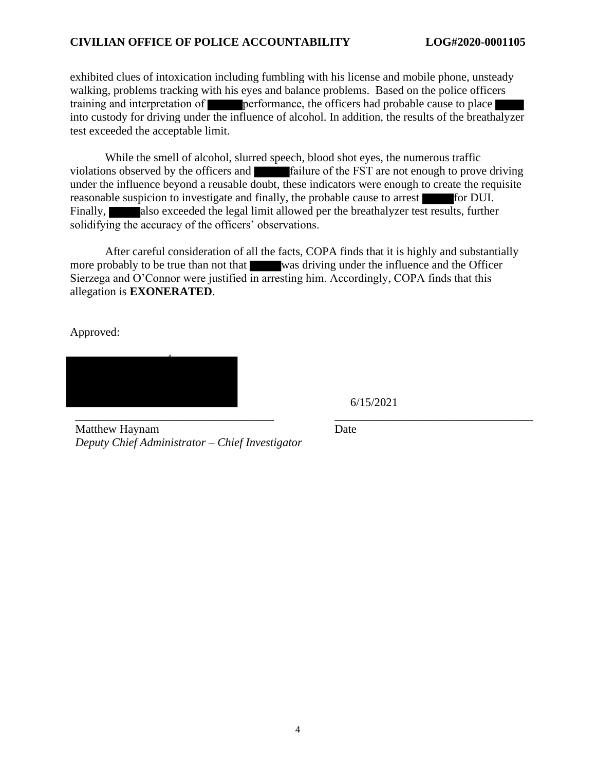#### **CIVILIAN OFFICE OF POLICE ACCOUNTABILITY LOG#2020-0001105**

exhibited clues of intoxication including fumbling with his license and mobile phone, unsteady walking, problems tracking with his eyes and balance problems. Based on the police officers training and interpretation of **performance**, the officers had probable cause to place into custody for driving under the influence of alcohol. In addition, the results of the breathalyzer test exceeded the acceptable limit.

While the smell of alcohol, slurred speech, blood shot eyes, the numerous traffic violations observed by the officers and failure of the FST are not enough to prove driving under the influence beyond a reusable doubt, these indicators were enough to create the requisite reasonable suspicion to investigate and finally, the probable cause to arrest for DUI. Finally, also exceeded the legal limit allowed per the breathalyzer test results, further solidifying the accuracy of the officers' observations.

After careful consideration of all the facts, COPA finds that it is highly and substantially more probably to be true than not that was driving under the influence and the Officer Sierzega and O'Connor were justified in arresting him. Accordingly, COPA finds that this allegation is **EXONERATED**.

Approved:



6/15/2021

Matthew Haynam *Deputy Chief Administrator – Chief Investigator* Date